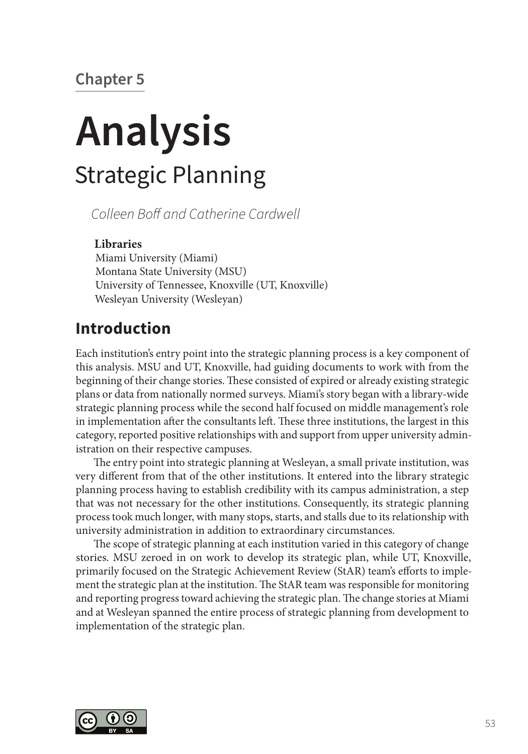# **Chapter 5**

# **Analysis** Strategic Planning

*Colleen Boff and Catherine Cardwell*

#### **Libraries**

Miami University (Miami) Montana State University (MSU) University of Tennessee, Knoxville (UT, Knoxville) Wesleyan University (Wesleyan)

## **Introduction**

Each institution's entry point into the strategic planning process is a key component of this analysis. MSU and UT, Knoxville, had guiding documents to work with from the beginning of their change stories. These consisted of expired or already existing strategic plans or data from nationally normed surveys. Miami's story began with a library-wide strategic planning process while the second half focused on middle management's role in implementation after the consultants left. These three institutions, the largest in this category, reported positive relationships with and support from upper university administration on their respective campuses.

The entry point into strategic planning at Wesleyan, a small private institution, was very different from that of the other institutions. It entered into the library strategic planning process having to establish credibility with its campus administration, a step that was not necessary for the other institutions. Consequently, its strategic planning process took much longer, with many stops, starts, and stalls due to its relationship with university administration in addition to extraordinary circumstances.

The scope of strategic planning at each institution varied in this category of change stories. MSU zeroed in on work to develop its strategic plan, while UT, Knoxville, primarily focused on the Strategic Achievement Review (StAR) team's efforts to implement the strategic plan at the institution. The StAR team was responsible for monitoring and reporting progress toward achieving the strategic plan. The change stories at Miami and at Wesleyan spanned the entire process of strategic planning from development to implementation of the strategic plan.

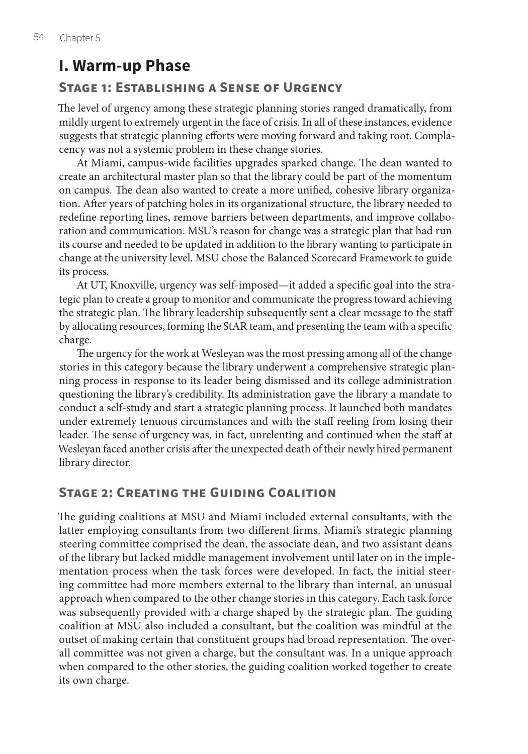# **I. Warm-up Phase**

### **Stage 1: Establishing a Sense of Urgency**

The level of urgency among these strategic planning stories ranged dramatically, from mildly urgent to extremely urgent in the face of crisis. In all of these instances, evidence suggests that strategic planning efforts were moving forward and taking root. Complacency was not a systemic problem in these change stories.

At Miami, campus-wide facilities upgrades sparked change. The dean wanted to create an architectural master plan so that the library could be part of the momentum on campus. The dean also wanted to create a more unified, cohesive library organization. After years of patching holes in its organizational structure, the library needed to redefine reporting lines, remove barriers between departments, and improve collaboration and communication. MSU's reason for change was a strategic plan that had run its course and needed to be updated in addition to the library wanting to participate in change at the university level. MSU chose the Balanced Scorecard Framework to guide its process.

At UT, Knoxville, urgency was self-imposed—it added a specific goal into the strategic plan to create a group to monitor and communicate the progress toward achieving the strategic plan. The library leadership subsequently sent a clear message to the staff by allocating resources, forming the StAR team, and presenting the team with a specific charge.

The urgency for the work at Wesleyan was the most pressing among all of the change stories in this category because the library underwent a comprehensive strategic planning process in response to its leader being dismissed and its college administration questioning the library's credibility. Its administration gave the library a mandate to conduct a self-study and start a strategic planning process. It launched both mandates under extremely tenuous circumstances and with the staff reeling from losing their leader. The sense of urgency was, in fact, unrelenting and continued when the staff at Wesleyan faced another crisis after the unexpected death of their newly hired permanent library director.

### **Stage 2: Creating the Guiding Coalition**

The guiding coalitions at MSU and Miami included external consultants, with the latter employing consultants from two different firms. Miami's strategic planning steering committee comprised the dean, the associate dean, and two assistant deans of the library but lacked middle management involvement until later on in the implementation process when the task forces were developed. In fact, the initial steering committee had more members external to the library than internal, an unusual approach when compared to the other change stories in this category. Each task force was subsequently provided with a charge shaped by the strategic plan. The guiding coalition at MSU also included a consultant, but the coalition was mindful at the outset of making certain that constituent groups had broad representation. The overall committee was not given a charge, but the consultant was. In a unique approach when compared to the other stories, the guiding coalition worked together to create its own charge.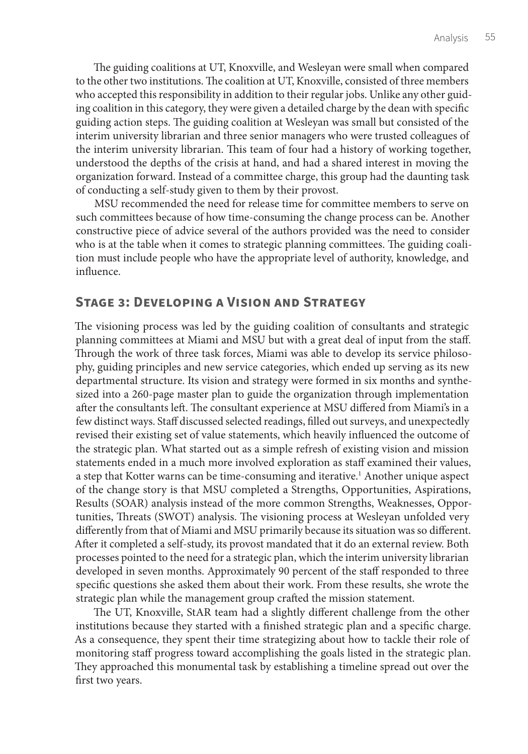The guiding coalitions at UT, Knoxville, and Wesleyan were small when compared to the other two institutions. The coalition at UT, Knoxville, consisted of three members who accepted this responsibility in addition to their regular jobs. Unlike any other guiding coalition in this category, they were given a detailed charge by the dean with specific guiding action steps. The guiding coalition at Wesleyan was small but consisted of the interim university librarian and three senior managers who were trusted colleagues of the interim university librarian. This team of four had a history of working together, understood the depths of the crisis at hand, and had a shared interest in moving the organization forward. Instead of a committee charge, this group had the daunting task of conducting a self-study given to them by their provost.

MSU recommended the need for release time for committee members to serve on such committees because of how time-consuming the change process can be. Another constructive piece of advice several of the authors provided was the need to consider who is at the table when it comes to strategic planning committees. The guiding coalition must include people who have the appropriate level of authority, knowledge, and influence.

### **Stage 3: Developing a Vision and Strategy**

The visioning process was led by the guiding coalition of consultants and strategic planning committees at Miami and MSU but with a great deal of input from the staff. Through the work of three task forces, Miami was able to develop its service philosophy, guiding principles and new service categories, which ended up serving as its new departmental structure. Its vision and strategy were formed in six months and synthesized into a 260-page master plan to guide the organization through implementation after the consultants left. The consultant experience at MSU differed from Miami's in a few distinct ways. Staff discussed selected readings, filled out surveys, and unexpectedly revised their existing set of value statements, which heavily influenced the outcome of the strategic plan. What started out as a simple refresh of existing vision and mission statements ended in a much more involved exploration as staff examined their values, a step that Kotter warns can be time-consuming and iterative.<sup>1</sup> Another unique aspect of the change story is that MSU completed a Strengths, Opportunities, Aspirations, Results (SOAR) analysis instead of the more common Strengths, Weaknesses, Opportunities, Threats (SWOT) analysis. The visioning process at Wesleyan unfolded very differently from that of Miami and MSU primarily because its situation was so different. After it completed a self-study, its provost mandated that it do an external review. Both processes pointed to the need for a strategic plan, which the interim university librarian developed in seven months. Approximately 90 percent of the staff responded to three specific questions she asked them about their work. From these results, she wrote the strategic plan while the management group crafted the mission statement.

The UT, Knoxville, StAR team had a slightly different challenge from the other institutions because they started with a finished strategic plan and a specific charge. As a consequence, they spent their time strategizing about how to tackle their role of monitoring staff progress toward accomplishing the goals listed in the strategic plan. They approached this monumental task by establishing a timeline spread out over the first two years.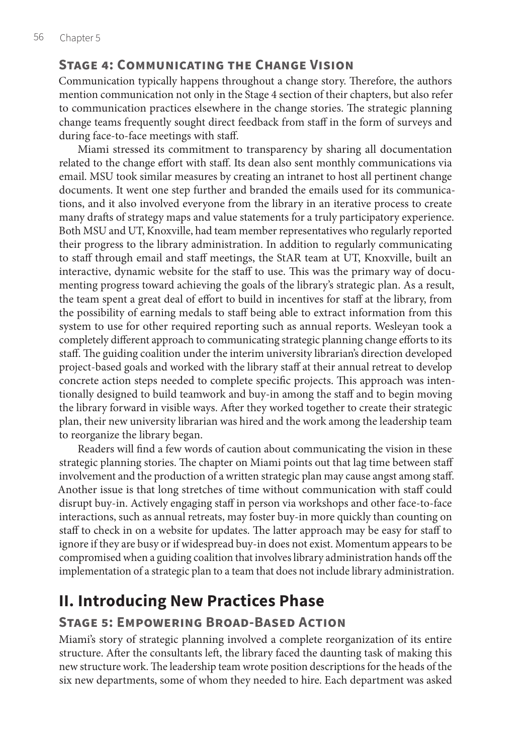### **Stage 4: Communicating the Change Vision**

Communication typically happens throughout a change story. Therefore, the authors mention communication not only in the Stage 4 section of their chapters, but also refer to communication practices elsewhere in the change stories. The strategic planning change teams frequently sought direct feedback from staff in the form of surveys and during face-to-face meetings with staff.

Miami stressed its commitment to transparency by sharing all documentation related to the change effort with staff. Its dean also sent monthly communications via email. MSU took similar measures by creating an intranet to host all pertinent change documents. It went one step further and branded the emails used for its communications, and it also involved everyone from the library in an iterative process to create many drafts of strategy maps and value statements for a truly participatory experience. Both MSU and UT, Knoxville, had team member representatives who regularly reported their progress to the library administration. In addition to regularly communicating to staff through email and staff meetings, the StAR team at UT, Knoxville, built an interactive, dynamic website for the staff to use. This was the primary way of documenting progress toward achieving the goals of the library's strategic plan. As a result, the team spent a great deal of effort to build in incentives for staff at the library, from the possibility of earning medals to staff being able to extract information from this system to use for other required reporting such as annual reports. Wesleyan took a completely different approach to communicating strategic planning change efforts to its staff. The guiding coalition under the interim university librarian's direction developed project-based goals and worked with the library staff at their annual retreat to develop concrete action steps needed to complete specific projects. This approach was intentionally designed to build teamwork and buy-in among the staff and to begin moving the library forward in visible ways. After they worked together to create their strategic plan, their new university librarian was hired and the work among the leadership team to reorganize the library began.

Readers will find a few words of caution about communicating the vision in these strategic planning stories. The chapter on Miami points out that lag time between staff involvement and the production of a written strategic plan may cause angst among staff. Another issue is that long stretches of time without communication with staff could disrupt buy-in. Actively engaging staff in person via workshops and other face-to-face interactions, such as annual retreats, may foster buy-in more quickly than counting on staff to check in on a website for updates. The latter approach may be easy for staff to ignore if they are busy or if widespread buy-in does not exist. Momentum appears to be compromised when a guiding coalition that involves library administration hands off the implementation of a strategic plan to a team that does not include library administration.

# **II. Introducing New Practices Phase**

## **Stage 5: Empowering Broad-Based Action**

Miami's story of strategic planning involved a complete reorganization of its entire structure. After the consultants left, the library faced the daunting task of making this new structure work. The leadership team wrote position descriptions for the heads of the six new departments, some of whom they needed to hire. Each department was asked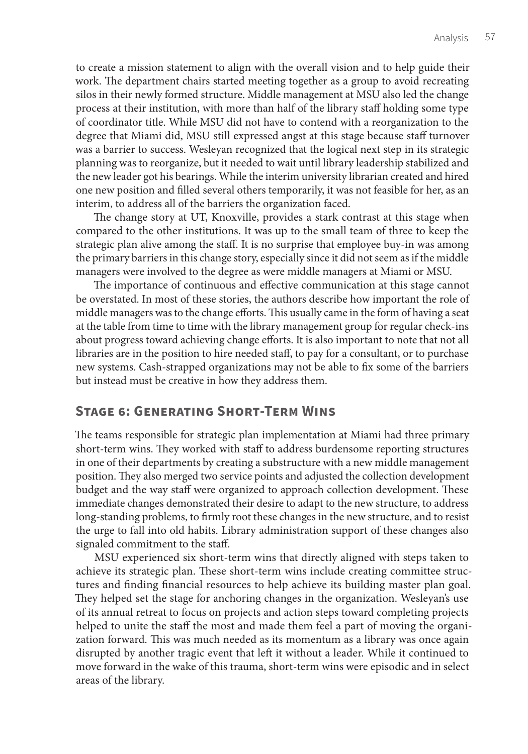to create a mission statement to align with the overall vision and to help guide their work. The department chairs started meeting together as a group to avoid recreating silos in their newly formed structure. Middle management at MSU also led the change process at their institution, with more than half of the library staff holding some type of coordinator title. While MSU did not have to contend with a reorganization to the degree that Miami did, MSU still expressed angst at this stage because staff turnover was a barrier to success. Wesleyan recognized that the logical next step in its strategic planning was to reorganize, but it needed to wait until library leadership stabilized and the new leader got his bearings. While the interim university librarian created and hired one new position and filled several others temporarily, it was not feasible for her, as an interim, to address all of the barriers the organization faced.

The change story at UT, Knoxville, provides a stark contrast at this stage when compared to the other institutions. It was up to the small team of three to keep the strategic plan alive among the staff. It is no surprise that employee buy-in was among the primary barriers in this change story, especially since it did not seem as if the middle managers were involved to the degree as were middle managers at Miami or MSU.

The importance of continuous and effective communication at this stage cannot be overstated. In most of these stories, the authors describe how important the role of middle managers was to the change efforts. This usually came in the form of having a seat at the table from time to time with the library management group for regular check-ins about progress toward achieving change efforts. It is also important to note that not all libraries are in the position to hire needed staff, to pay for a consultant, or to purchase new systems. Cash-strapped organizations may not be able to fix some of the barriers but instead must be creative in how they address them.

#### **Stage 6: Generating Short-Term Wins**

The teams responsible for strategic plan implementation at Miami had three primary short-term wins. They worked with staff to address burdensome reporting structures in one of their departments by creating a substructure with a new middle management position. They also merged two service points and adjusted the collection development budget and the way staff were organized to approach collection development. These immediate changes demonstrated their desire to adapt to the new structure, to address long-standing problems, to firmly root these changes in the new structure, and to resist the urge to fall into old habits. Library administration support of these changes also signaled commitment to the staff.

MSU experienced six short-term wins that directly aligned with steps taken to achieve its strategic plan. These short-term wins include creating committee structures and finding financial resources to help achieve its building master plan goal. They helped set the stage for anchoring changes in the organization. Wesleyan's use of its annual retreat to focus on projects and action steps toward completing projects helped to unite the staff the most and made them feel a part of moving the organization forward. This was much needed as its momentum as a library was once again disrupted by another tragic event that left it without a leader. While it continued to move forward in the wake of this trauma, short-term wins were episodic and in select areas of the library.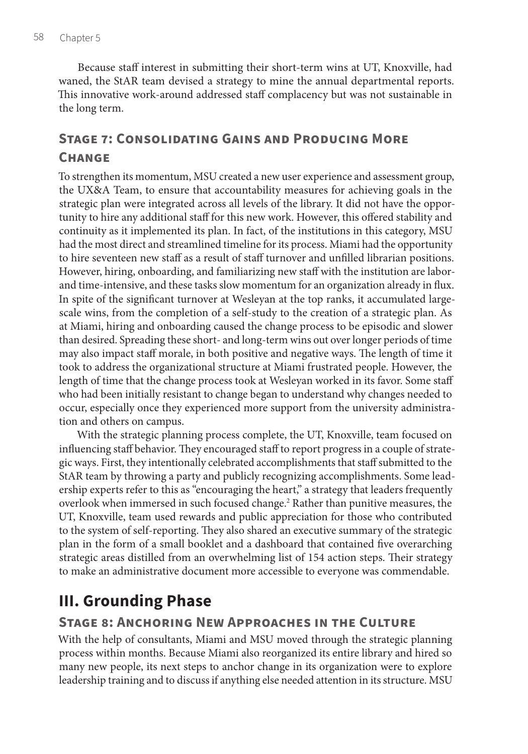Because staff interest in submitting their short-term wins at UT, Knoxville, had waned, the StAR team devised a strategy to mine the annual departmental reports. This innovative work-around addressed staff complacency but was not sustainable in the long term.

## **Stage 7: Consolidating Gains and Producing More Change**

To strengthen its momentum, MSU created a new user experience and assessment group, the UX&A Team, to ensure that accountability measures for achieving goals in the strategic plan were integrated across all levels of the library. It did not have the opportunity to hire any additional staff for this new work. However, this offered stability and continuity as it implemented its plan. In fact, of the institutions in this category, MSU had the most direct and streamlined timeline for its process. Miami had the opportunity to hire seventeen new staff as a result of staff turnover and unfilled librarian positions. However, hiring, onboarding, and familiarizing new staff with the institution are laborand time-intensive, and these tasks slow momentum for an organization already in flux. In spite of the significant turnover at Wesleyan at the top ranks, it accumulated largescale wins, from the completion of a self-study to the creation of a strategic plan. As at Miami, hiring and onboarding caused the change process to be episodic and slower than desired. Spreading these short- and long-term wins out over longer periods of time may also impact staff morale, in both positive and negative ways. The length of time it took to address the organizational structure at Miami frustrated people. However, the length of time that the change process took at Wesleyan worked in its favor. Some staff who had been initially resistant to change began to understand why changes needed to occur, especially once they experienced more support from the university administration and others on campus.

With the strategic planning process complete, the UT, Knoxville, team focused on influencing staff behavior. They encouraged staff to report progress in a couple of strategic ways. First, they intentionally celebrated accomplishments that staff submitted to the StAR team by throwing a party and publicly recognizing accomplishments. Some leadership experts refer to this as "encouraging the heart," a strategy that leaders frequently overlook when immersed in such focused change.<sup>2</sup> Rather than punitive measures, the UT, Knoxville, team used rewards and public appreciation for those who contributed to the system of self-reporting. They also shared an executive summary of the strategic plan in the form of a small booklet and a dashboard that contained five overarching strategic areas distilled from an overwhelming list of 154 action steps. Their strategy to make an administrative document more accessible to everyone was commendable.

# **III. Grounding Phase**

## **Stage 8: Anchoring New Approaches in the Culture**

With the help of consultants, Miami and MSU moved through the strategic planning process within months. Because Miami also reorganized its entire library and hired so many new people, its next steps to anchor change in its organization were to explore leadership training and to discuss if anything else needed attention in its structure. MSU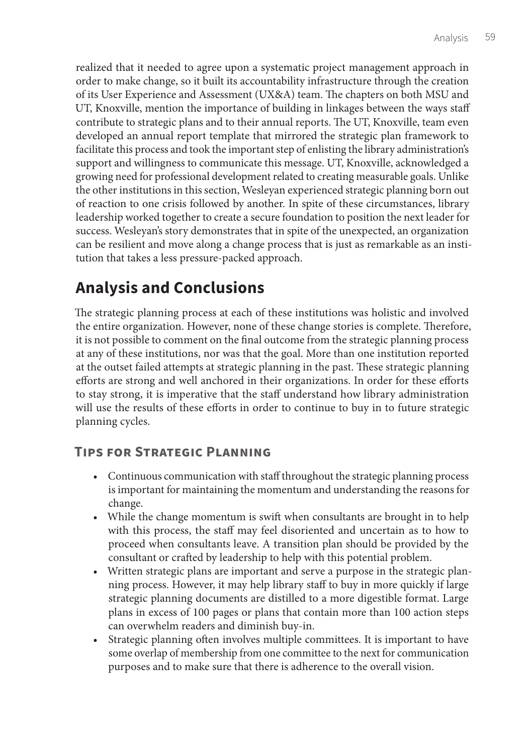realized that it needed to agree upon a systematic project management approach in order to make change, so it built its accountability infrastructure through the creation of its User Experience and Assessment (UX&A) team. The chapters on both MSU and UT, Knoxville, mention the importance of building in linkages between the ways staff contribute to strategic plans and to their annual reports. The UT, Knoxville, team even developed an annual report template that mirrored the strategic plan framework to facilitate this process and took the important step of enlisting the library administration's support and willingness to communicate this message. UT, Knoxville, acknowledged a growing need for professional development related to creating measurable goals. Unlike the other institutions in this section, Wesleyan experienced strategic planning born out of reaction to one crisis followed by another. In spite of these circumstances, library leadership worked together to create a secure foundation to position the next leader for success. Wesleyan's story demonstrates that in spite of the unexpected, an organization can be resilient and move along a change process that is just as remarkable as an institution that takes a less pressure-packed approach.

# **Analysis and Conclusions**

The strategic planning process at each of these institutions was holistic and involved the entire organization. However, none of these change stories is complete. Therefore, it is not possible to comment on the final outcome from the strategic planning process at any of these institutions, nor was that the goal. More than one institution reported at the outset failed attempts at strategic planning in the past. These strategic planning efforts are strong and well anchored in their organizations. In order for these efforts to stay strong, it is imperative that the staff understand how library administration will use the results of these efforts in order to continue to buy in to future strategic planning cycles.

## **Tips for Strategic Planning**

- Continuous communication with staff throughout the strategic planning process is important for maintaining the momentum and understanding the reasons for change.
- While the change momentum is swift when consultants are brought in to help with this process, the staff may feel disoriented and uncertain as to how to proceed when consultants leave. A transition plan should be provided by the consultant or crafted by leadership to help with this potential problem.
- Written strategic plans are important and serve a purpose in the strategic planning process. However, it may help library staff to buy in more quickly if large strategic planning documents are distilled to a more digestible format. Large plans in excess of 100 pages or plans that contain more than 100 action steps can overwhelm readers and diminish buy-in.
- Strategic planning often involves multiple committees. It is important to have some overlap of membership from one committee to the next for communication purposes and to make sure that there is adherence to the overall vision.